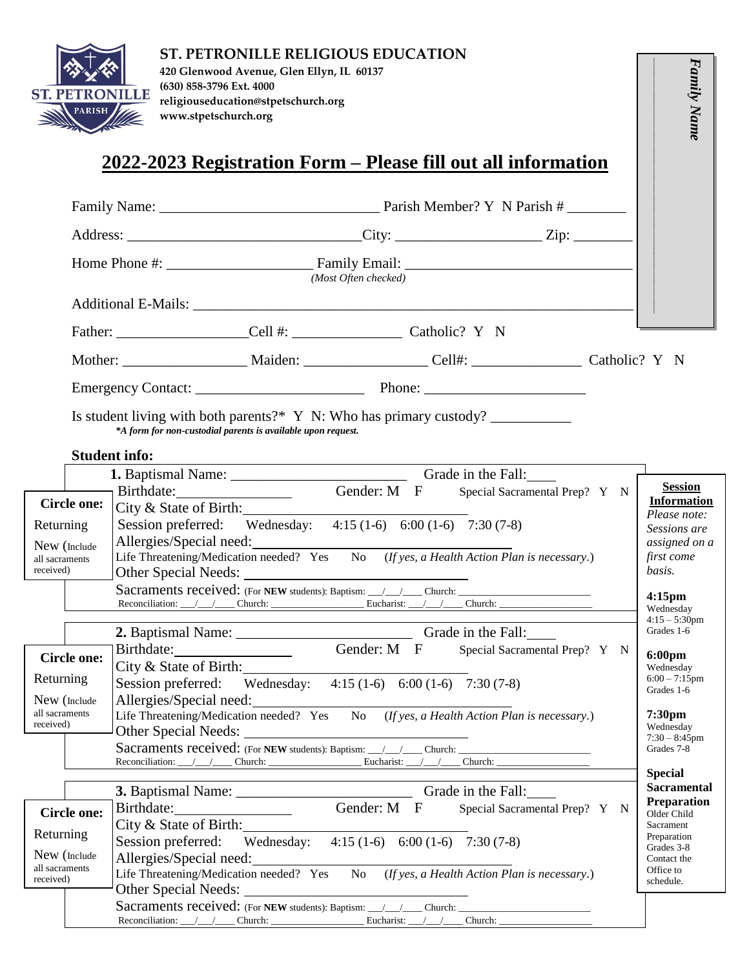